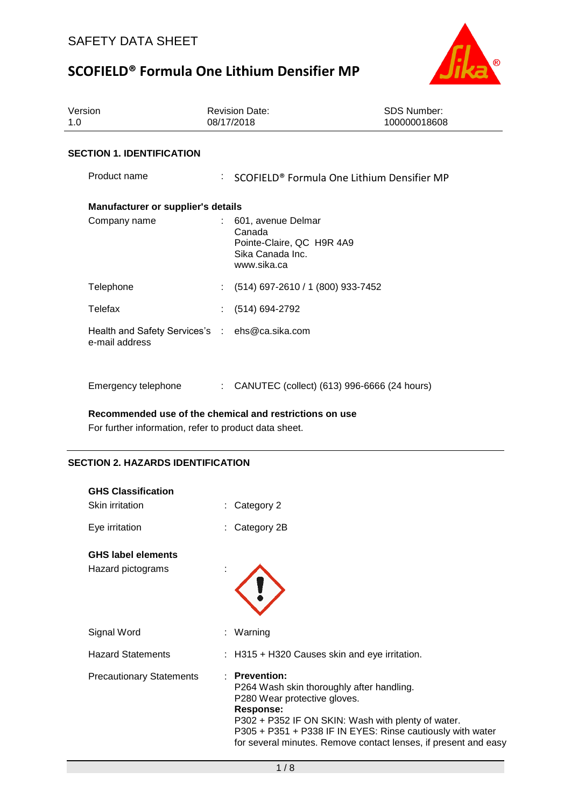

| Version<br>1.0                                                   | <b>Revision Date:</b><br>08/17/2018                                                                | <b>SDS Number:</b><br>100000018608                     |
|------------------------------------------------------------------|----------------------------------------------------------------------------------------------------|--------------------------------------------------------|
| <b>SECTION 1. IDENTIFICATION</b>                                 |                                                                                                    |                                                        |
| Product name                                                     |                                                                                                    | SCOFIELD <sup>®</sup> Formula One Lithium Densifier MP |
| <b>Manufacturer or supplier's details</b>                        |                                                                                                    |                                                        |
| Company name                                                     | 601, avenue Delmar<br>t.<br>Canada<br>Pointe-Claire, QC H9R 4A9<br>Sika Canada Inc.<br>www.sika.ca |                                                        |
| Telephone                                                        | (514) 697-2610 / 1 (800) 933-7452                                                                  |                                                        |
| Telefax                                                          | (514) 694-2792                                                                                     |                                                        |
| Health and Safety Services's : ehs@ca.sika.com<br>e-mail address |                                                                                                    |                                                        |
| Emergency telephone                                              | CANUTEC (collect) (613) 996-6666 (24 hours)                                                        |                                                        |

**Recommended use of the chemical and restrictions on use**

For further information, refer to product data sheet.

### **SECTION 2. HAZARDS IDENTIFICATION**

| <b>GHS Classification</b><br>Skin irritation   | Category 2                                                                                                                                                                                                                                                                                            |
|------------------------------------------------|-------------------------------------------------------------------------------------------------------------------------------------------------------------------------------------------------------------------------------------------------------------------------------------------------------|
| Eye irritation                                 | Category 2B<br>t.                                                                                                                                                                                                                                                                                     |
| <b>GHS label elements</b><br>Hazard pictograms |                                                                                                                                                                                                                                                                                                       |
| Signal Word                                    | : Warning                                                                                                                                                                                                                                                                                             |
| <b>Hazard Statements</b>                       | : H315 + H320 Causes skin and eye irritation.                                                                                                                                                                                                                                                         |
| <b>Precautionary Statements</b>                | : Prevention:<br>P264 Wash skin thoroughly after handling.<br>P280 Wear protective gloves.<br><b>Response:</b><br>P302 + P352 IF ON SKIN: Wash with plenty of water.<br>P305 + P351 + P338 IF IN EYES: Rinse cautiously with water<br>for several minutes. Remove contact lenses, if present and easy |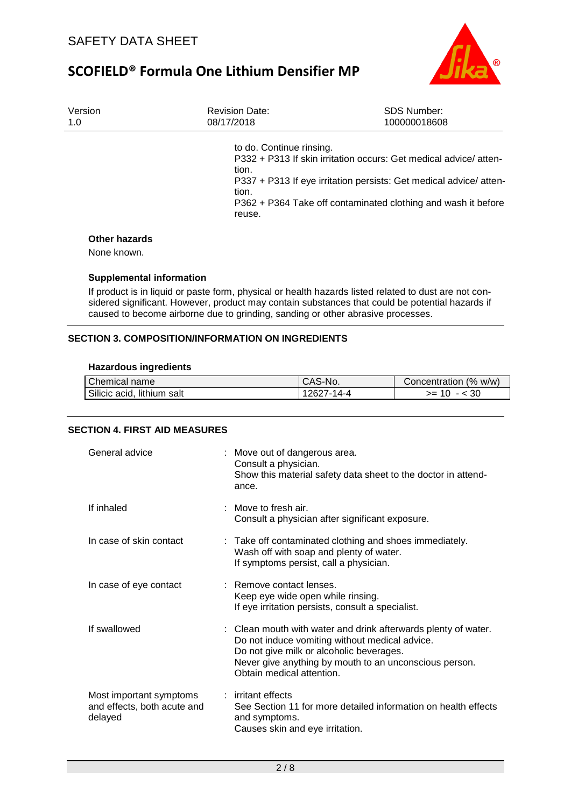

| Version | <b>Revision Date:</b>                                | <b>SDS Number:</b>                                                                                                                                                                                     |
|---------|------------------------------------------------------|--------------------------------------------------------------------------------------------------------------------------------------------------------------------------------------------------------|
| 1.0     | 08/17/2018                                           | 100000018608                                                                                                                                                                                           |
|         | to do. Continue rinsing.<br>tion.<br>tion.<br>reuse. | P332 + P313 If skin irritation occurs: Get medical advice/atten-<br>P337 + P313 If eye irritation persists: Get medical advice/atten-<br>P362 + P364 Take off contaminated clothing and wash it before |

#### **Other hazards**

None known.

#### **Supplemental information**

If product is in liquid or paste form, physical or health hazards listed related to dust are not considered significant. However, product may contain substances that could be potential hazards if caused to become airborne due to grinding, sanding or other abrasive processes.

### **SECTION 3. COMPOSITION/INFORMATION ON INGREDIENTS**

#### **Hazardous ingredients**

| Chemical name              | <sup>I</sup> CAS-No. | Concentration (% w/w) |
|----------------------------|----------------------|-----------------------|
| Silicic acid, lithium salt | 12627-14-4           | >=                    |

### **SECTION 4. FIRST AID MEASURES**

| General advice                                                    | : Move out of dangerous area.<br>Consult a physician.<br>Show this material safety data sheet to the doctor in attend-<br>ance.                                                                                                                     |
|-------------------------------------------------------------------|-----------------------------------------------------------------------------------------------------------------------------------------------------------------------------------------------------------------------------------------------------|
| If inhaled                                                        | $\therefore$ Move to fresh air.<br>Consult a physician after significant exposure.                                                                                                                                                                  |
| In case of skin contact                                           | : Take off contaminated clothing and shoes immediately.<br>Wash off with soap and plenty of water.<br>If symptoms persist, call a physician.                                                                                                        |
| In case of eye contact                                            | : Remove contact lenses.<br>Keep eye wide open while rinsing.<br>If eye irritation persists, consult a specialist.                                                                                                                                  |
| If swallowed                                                      | : Clean mouth with water and drink afterwards plenty of water.<br>Do not induce vomiting without medical advice.<br>Do not give milk or alcoholic beverages.<br>Never give anything by mouth to an unconscious person.<br>Obtain medical attention. |
| Most important symptoms<br>and effects, both acute and<br>delayed | : irritant effects<br>See Section 11 for more detailed information on health effects<br>and symptoms.<br>Causes skin and eye irritation.                                                                                                            |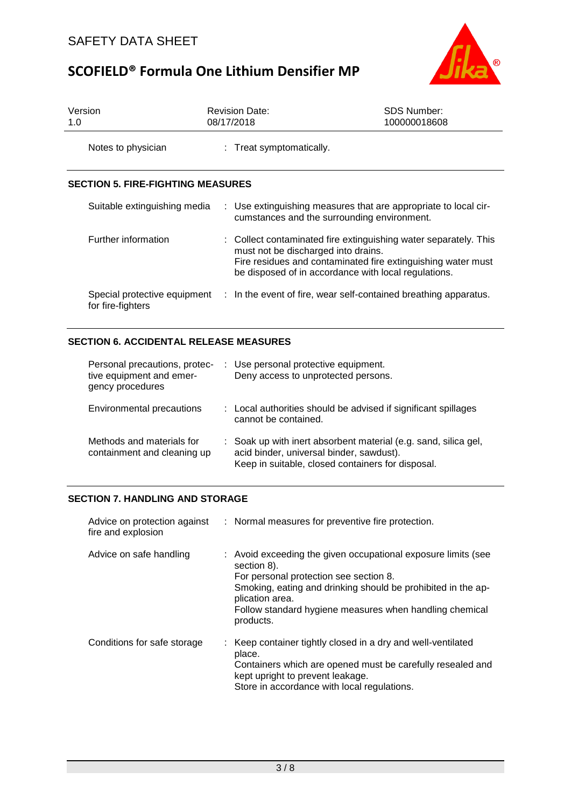

| Version<br>1.0                           | <b>Revision Date:</b><br>08/17/2018         | <b>SDS Number:</b><br>100000018608                                                                                                                                                       |  |
|------------------------------------------|---------------------------------------------|------------------------------------------------------------------------------------------------------------------------------------------------------------------------------------------|--|
| Notes to physician                       | : Treat symptomatically.                    |                                                                                                                                                                                          |  |
| <b>SECTION 5. FIRE-FIGHTING MEASURES</b> |                                             |                                                                                                                                                                                          |  |
| Suitable extinguishing media             | cumstances and the surrounding environment. | : Use extinguishing measures that are appropriate to local cir-                                                                                                                          |  |
| Further information                      | must not be discharged into drains.         | : Collect contaminated fire extinguishing water separately. This<br>Fire residues and contaminated fire extinguishing water must<br>be disposed of in accordance with local regulations. |  |
| for fire-fighters                        |                                             | Special protective equipment : In the event of fire, wear self-contained breathing apparatus.                                                                                            |  |

### **SECTION 6. ACCIDENTAL RELEASE MEASURES**

| Personal precautions, protec-<br>tive equipment and emer-<br>gency procedures | : Use personal protective equipment.<br>Deny access to unprotected persons.                                                                                      |
|-------------------------------------------------------------------------------|------------------------------------------------------------------------------------------------------------------------------------------------------------------|
| Environmental precautions                                                     | : Local authorities should be advised if significant spillages<br>cannot be contained.                                                                           |
| Methods and materials for<br>containment and cleaning up                      | : Soak up with inert absorbent material (e.g. sand, silica gel,<br>acid binder, universal binder, sawdust).<br>Keep in suitable, closed containers for disposal. |

### **SECTION 7. HANDLING AND STORAGE**

| Advice on protection against<br>fire and explosion | : Normal measures for preventive fire protection.                                                                                                                                                                                                                                 |
|----------------------------------------------------|-----------------------------------------------------------------------------------------------------------------------------------------------------------------------------------------------------------------------------------------------------------------------------------|
| Advice on safe handling                            | : Avoid exceeding the given occupational exposure limits (see<br>section 8).<br>For personal protection see section 8.<br>Smoking, eating and drinking should be prohibited in the ap-<br>plication area.<br>Follow standard hygiene measures when handling chemical<br>products. |
| Conditions for safe storage                        | : Keep container tightly closed in a dry and well-ventilated<br>place.<br>Containers which are opened must be carefully resealed and<br>kept upright to prevent leakage.<br>Store in accordance with local regulations.                                                           |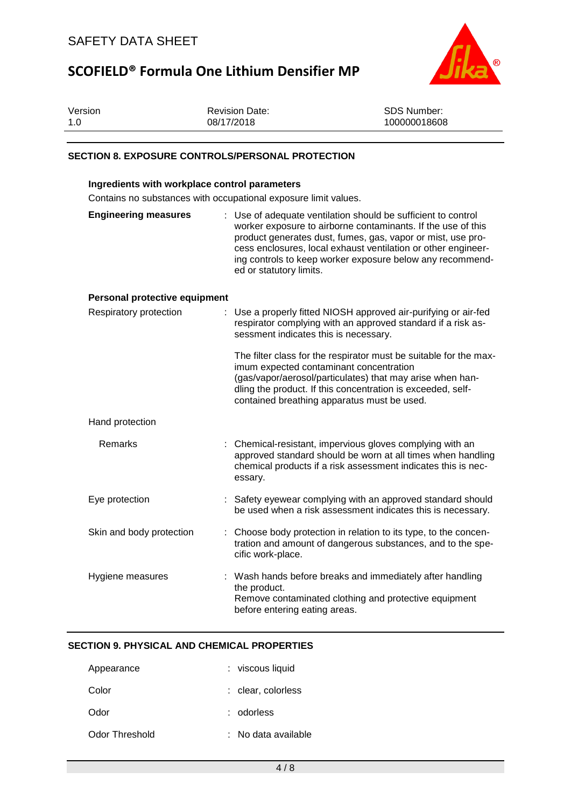

| Version<br>1.0                                          | <b>Revision Date:</b><br>08/17/2018                             | SDS Number:<br>100000018608                                                                                                                                                                                                                                                                                              |
|---------------------------------------------------------|-----------------------------------------------------------------|--------------------------------------------------------------------------------------------------------------------------------------------------------------------------------------------------------------------------------------------------------------------------------------------------------------------------|
| <b>SECTION 8. EXPOSURE CONTROLS/PERSONAL PROTECTION</b> |                                                                 |                                                                                                                                                                                                                                                                                                                          |
| Ingredients with workplace control parameters           | Contains no substances with occupational exposure limit values. |                                                                                                                                                                                                                                                                                                                          |
| <b>Engineering measures</b>                             | ed or statutory limits.                                         | Use of adequate ventilation should be sufficient to control<br>worker exposure to airborne contaminants. If the use of this<br>product generates dust, fumes, gas, vapor or mist, use pro-<br>cess enclosures, local exhaust ventilation or other engineer-<br>ing controls to keep worker exposure below any recommend- |
| Personal protective equipment                           |                                                                 |                                                                                                                                                                                                                                                                                                                          |
| Respiratory protection                                  | sessment indicates this is necessary.                           | : Use a properly fitted NIOSH approved air-purifying or air-fed<br>respirator complying with an approved standard if a risk as-                                                                                                                                                                                          |
|                                                         |                                                                 | The filter class for the respirator must be suitable for the max-<br>imum expected contaminant concentration<br>(gas/vapor/aerosol/particulates) that may arise when han-<br>dling the product. If this concentration is exceeded, self-<br>contained breathing apparatus must be used.                                  |
| Hand protection                                         |                                                                 |                                                                                                                                                                                                                                                                                                                          |
| Remarks                                                 | essary.                                                         | Chemical-resistant, impervious gloves complying with an<br>approved standard should be worn at all times when handling<br>chemical products if a risk assessment indicates this is nec-                                                                                                                                  |
| Eye protection                                          |                                                                 | Safety eyewear complying with an approved standard should<br>be used when a risk assessment indicates this is necessary.                                                                                                                                                                                                 |
| Skin and body protection                                | cific work-place.                                               | Choose body protection in relation to its type, to the concen-<br>tration and amount of dangerous substances, and to the spe-                                                                                                                                                                                            |
| Hygiene measures                                        | the product.<br>before entering eating areas.                   | Wash hands before breaks and immediately after handling<br>Remove contaminated clothing and protective equipment                                                                                                                                                                                                         |
| <b>SECTION 9. PHYSICAL AND CHEMICAL PROPERTIES</b>      |                                                                 |                                                                                                                                                                                                                                                                                                                          |
| Appearance                                              | : viscous liquid                                                |                                                                                                                                                                                                                                                                                                                          |

| Color | : clear, colorless |
|-------|--------------------|
| Odor  | : odorless         |

Odor Threshold : No data available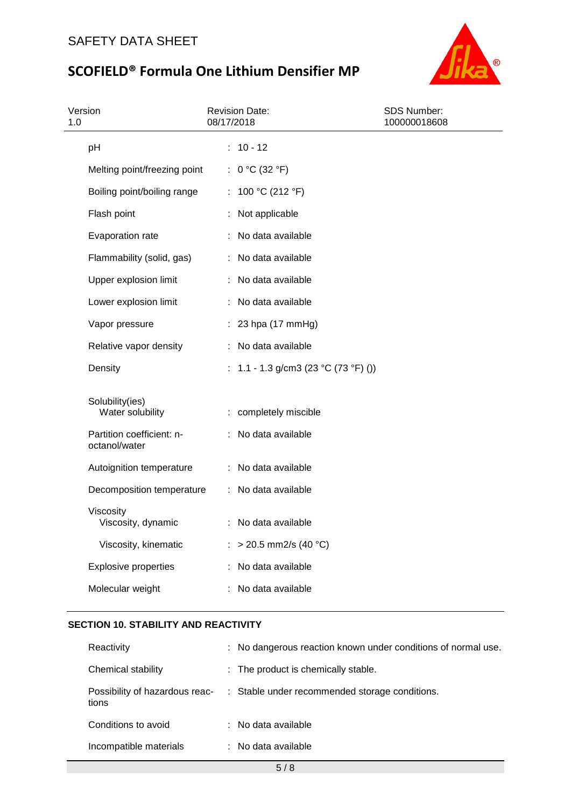

| Version<br>1.0 |                                            | 08/17/2018 | <b>Revision Date:</b>                | SDS Number:<br>100000018608 |  |
|----------------|--------------------------------------------|------------|--------------------------------------|-----------------------------|--|
|                | pH                                         |            | $: 10 - 12$                          |                             |  |
|                | Melting point/freezing point               |            | : $0 °C (32 °F)$                     |                             |  |
|                | Boiling point/boiling range                |            | : 100 °C (212 °F)                    |                             |  |
|                | Flash point                                |            | : Not applicable                     |                             |  |
|                | Evaporation rate                           |            | : No data available                  |                             |  |
|                | Flammability (solid, gas)                  |            | : No data available                  |                             |  |
|                | Upper explosion limit                      |            | : No data available                  |                             |  |
|                | Lower explosion limit                      |            | : No data available                  |                             |  |
|                | Vapor pressure                             |            | $: 23$ hpa (17 mmHg)                 |                             |  |
|                | Relative vapor density                     |            | : No data available                  |                             |  |
|                | Density                                    |            | : 1.1 - 1.3 g/cm3 (23 °C (73 °F) ()) |                             |  |
|                | Solubility(ies)<br>Water solubility        |            | : completely miscible                |                             |  |
|                | Partition coefficient: n-<br>octanol/water |            | : No data available                  |                             |  |
|                | Autoignition temperature                   |            | : No data available                  |                             |  |
|                | Decomposition temperature                  |            | : No data available                  |                             |  |
|                | Viscosity<br>Viscosity, dynamic            |            | : No data available                  |                             |  |
|                | Viscosity, kinematic                       |            | : > 20.5 mm2/s (40 °C)               |                             |  |
|                | <b>Explosive properties</b>                |            | : No data available                  |                             |  |
|                | Molecular weight                           |            | : No data available                  |                             |  |

## **SECTION 10. STABILITY AND REACTIVITY**

| Reactivity             | : No dangerous reaction known under conditions of normal use.                 |
|------------------------|-------------------------------------------------------------------------------|
| Chemical stability     | : The product is chemically stable.                                           |
| tions                  | Possibility of hazardous reac- : Stable under recommended storage conditions. |
| Conditions to avoid    | $:$ No data available                                                         |
| Incompatible materials | : No data available                                                           |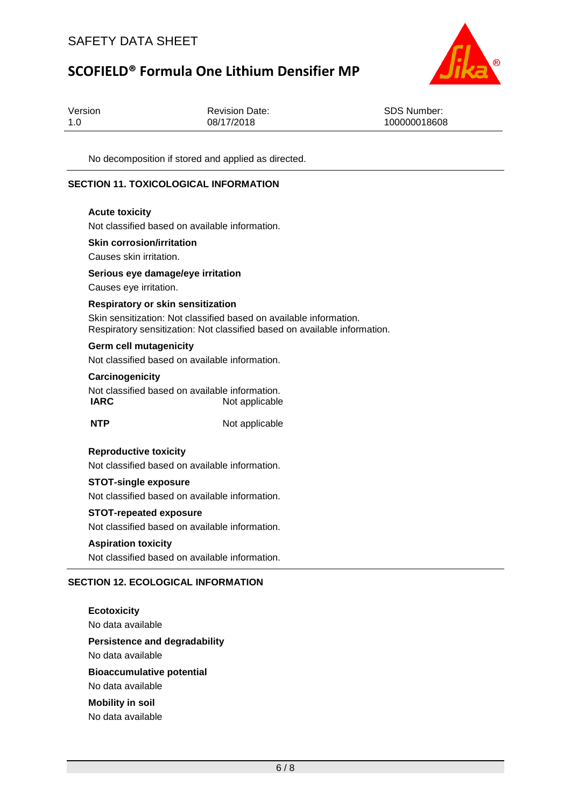

| Version | <b>Revision Date:</b> | SDS Number:  |
|---------|-----------------------|--------------|
| 1.0     | 08/17/2018            | 100000018608 |

No decomposition if stored and applied as directed.

### **SECTION 11. TOXICOLOGICAL INFORMATION**

#### **Acute toxicity**

Not classified based on available information.

#### **Skin corrosion/irritation**

Causes skin irritation.

#### **Serious eye damage/eye irritation**

Causes eye irritation.

#### **Respiratory or skin sensitization**

Skin sensitization: Not classified based on available information. Respiratory sensitization: Not classified based on available information.

#### **Germ cell mutagenicity**

Not classified based on available information.

#### **Carcinogenicity**

Not classified based on available information.<br> **IARC** Not applicable **Not applicable** 

**NTP** Not applicable

#### **Reproductive toxicity**

Not classified based on available information.

#### **STOT-single exposure**

Not classified based on available information.

#### **STOT-repeated exposure**

Not classified based on available information.

#### **Aspiration toxicity**

Not classified based on available information.

### **SECTION 12. ECOLOGICAL INFORMATION**

**Ecotoxicity** No data available **Persistence and degradability** No data available **Bioaccumulative potential** No data available **Mobility in soil** No data available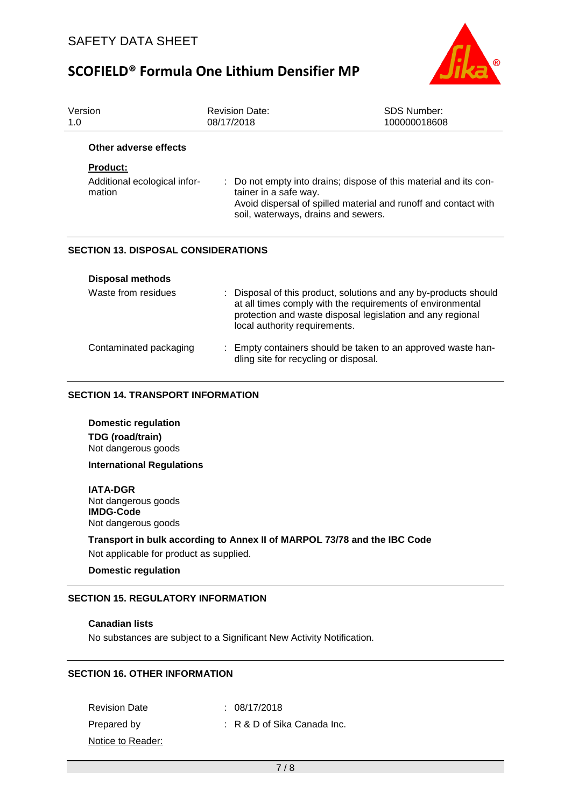

| Version<br>1.0                             | <b>Revision Date:</b><br>08/17/2018                                                                                                                                                                                           | SDS Number:<br>100000018608                                                                                                                                                 |  |  |
|--------------------------------------------|-------------------------------------------------------------------------------------------------------------------------------------------------------------------------------------------------------------------------------|-----------------------------------------------------------------------------------------------------------------------------------------------------------------------------|--|--|
| Other adverse effects                      |                                                                                                                                                                                                                               |                                                                                                                                                                             |  |  |
| <b>Product:</b>                            |                                                                                                                                                                                                                               |                                                                                                                                                                             |  |  |
| Additional ecological infor-<br>mation     | tainer in a safe way.                                                                                                                                                                                                         | : Do not empty into drains; dispose of this material and its con-<br>Avoid dispersal of spilled material and runoff and contact with<br>soil, waterways, drains and sewers. |  |  |
| <b>SECTION 13. DISPOSAL CONSIDERATIONS</b> |                                                                                                                                                                                                                               |                                                                                                                                                                             |  |  |
| <b>Disposal methods</b>                    |                                                                                                                                                                                                                               |                                                                                                                                                                             |  |  |
| Waste from residues                        | : Disposal of this product, solutions and any by-products should<br>at all times comply with the requirements of environmental<br>protection and waste disposal legislation and any regional<br>local authority requirements. |                                                                                                                                                                             |  |  |
| Contaminated packaging                     | : Empty containers should be taken to an approved waste han-<br>dling site for recycling or disposal.                                                                                                                         |                                                                                                                                                                             |  |  |

### **SECTION 14. TRANSPORT INFORMATION**

**Domestic regulation TDG (road/train)** Not dangerous goods

**International Regulations**

**IATA-DGR** Not dangerous goods **IMDG-Code**

Not dangerous goods

**Transport in bulk according to Annex II of MARPOL 73/78 and the IBC Code**

Not applicable for product as supplied.

**Domestic regulation**

#### **SECTION 15. REGULATORY INFORMATION**

#### **Canadian lists**

No substances are subject to a Significant New Activity Notification.

### **SECTION 16. OTHER INFORMATION**

Revision Date : 08/17/2018 Prepared by : R & D of Sika Canada Inc. Notice to Reader: